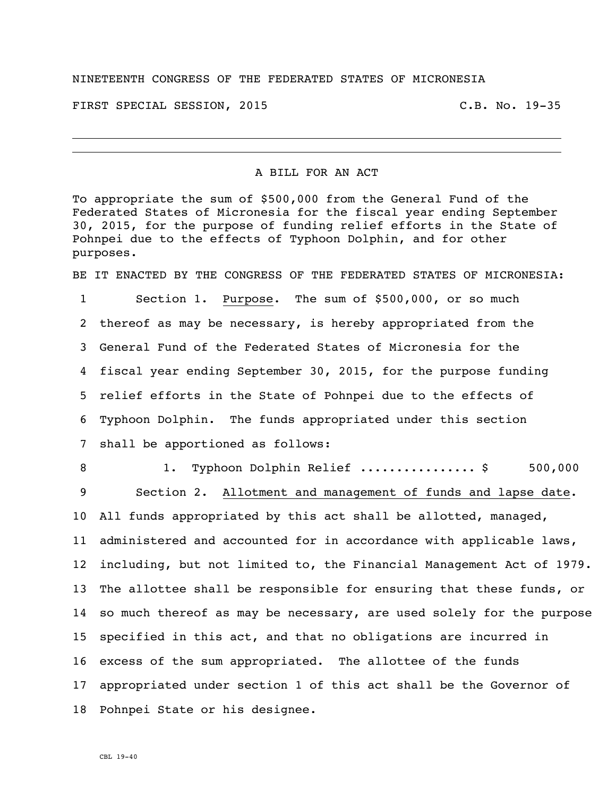## NINETEENTH CONGRESS OF THE FEDERATED STATES OF MICRONESIA

FIRST SPECIAL SESSION, 2015 C.B. No. 19-35

## A BILL FOR AN ACT

To appropriate the sum of \$500,000 from the General Fund of the Federated States of Micronesia for the fiscal year ending September 30, 2015, for the purpose of funding relief efforts in the State of Pohnpei due to the effects of Typhoon Dolphin, and for other purposes.

BE IT ENACTED BY THE CONGRESS OF THE FEDERATED STATES OF MICRONESIA:

 Section 1. Purpose. The sum of \$500,000, or so much thereof as may be necessary, is hereby appropriated from the General Fund of the Federated States of Micronesia for the fiscal year ending September 30, 2015, for the purpose funding relief efforts in the State of Pohnpei due to the effects of Typhoon Dolphin. The funds appropriated under this section shall be apportioned as follows:

8 1. Typhoon Dolphin Relief .................. \$ 500,000 Section 2. Allotment and management of funds and lapse date.

 All funds appropriated by this act shall be allotted, managed, administered and accounted for in accordance with applicable laws, including, but not limited to, the Financial Management Act of 1979. The allottee shall be responsible for ensuring that these funds, or so much thereof as may be necessary, are used solely for the purpose specified in this act, and that no obligations are incurred in excess of the sum appropriated. The allottee of the funds appropriated under section 1 of this act shall be the Governor of Pohnpei State or his designee.